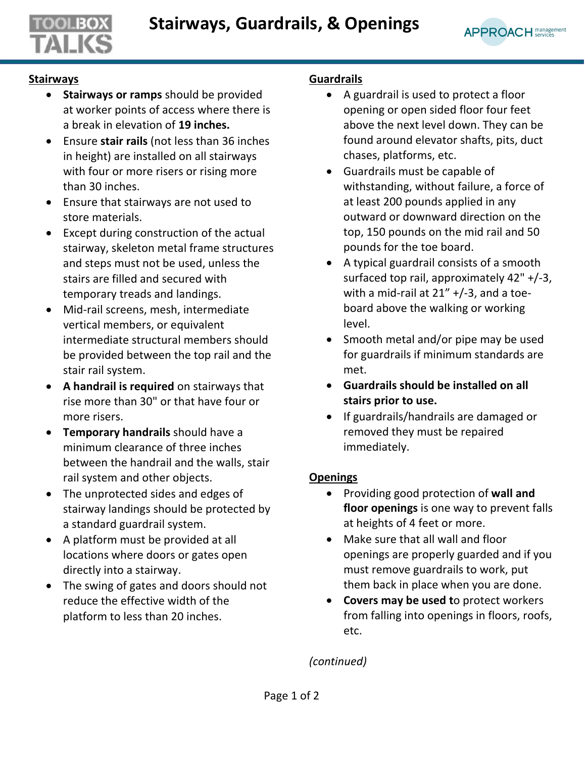

## **Stairways**

- **Stairways or ramps** should be provided at worker points of access where there is a break in elevation of **19 inches.**
- Ensure **stair rails** (not less than 36 inches in height) are installed on all stairways with four or more risers or rising more than 30 inches.
- Ensure that stairways are not used to store materials.
- Except during construction of the actual stairway, skeleton metal frame structures and steps must not be used, unless the stairs are filled and secured with temporary treads and landings.
- Mid-rail screens, mesh, intermediate vertical members, or equivalent intermediate structural members should be provided between the top rail and the stair rail system.
- **A handrail is required** on stairways that rise more than 30" or that have four or more risers.
- **Temporary handrails** should have a minimum clearance of three inches between the handrail and the walls, stair rail system and other objects.
- The unprotected sides and edges of stairway landings should be protected by a standard guardrail system.
- A platform must be provided at all locations where doors or gates open directly into a stairway.
- The swing of gates and doors should not reduce the effective width of the platform to less than 20 inches.

## **Guardrails**

- A guardrail is used to protect a floor opening or open sided floor four feet above the next level down. They can be found around elevator shafts, pits, duct chases, platforms, etc.
- Guardrails must be capable of withstanding, without failure, a force of at least 200 pounds applied in any outward or downward direction on the top, 150 pounds on the mid rail and 50 pounds for the toe board.
- A typical guardrail consists of a smooth surfaced top rail, approximately 42" +/-3, with a mid-rail at 21" +/-3, and a toeboard above the walking or working level.
- Smooth metal and/or pipe may be used for guardrails if minimum standards are met.
- **Guardrails should be installed on all stairs prior to use.**
- If guardrails/handrails are damaged or removed they must be repaired immediately.

## **Openings**

- Providing good protection of **wall and floor openings** is one way to prevent falls at heights of 4 feet or more.
- Make sure that all wall and floor openings are properly guarded and if you must remove guardrails to work, put them back in place when you are done.
- **Covers may be used t**o protect workers from falling into openings in floors, roofs, etc.

*(continued)*